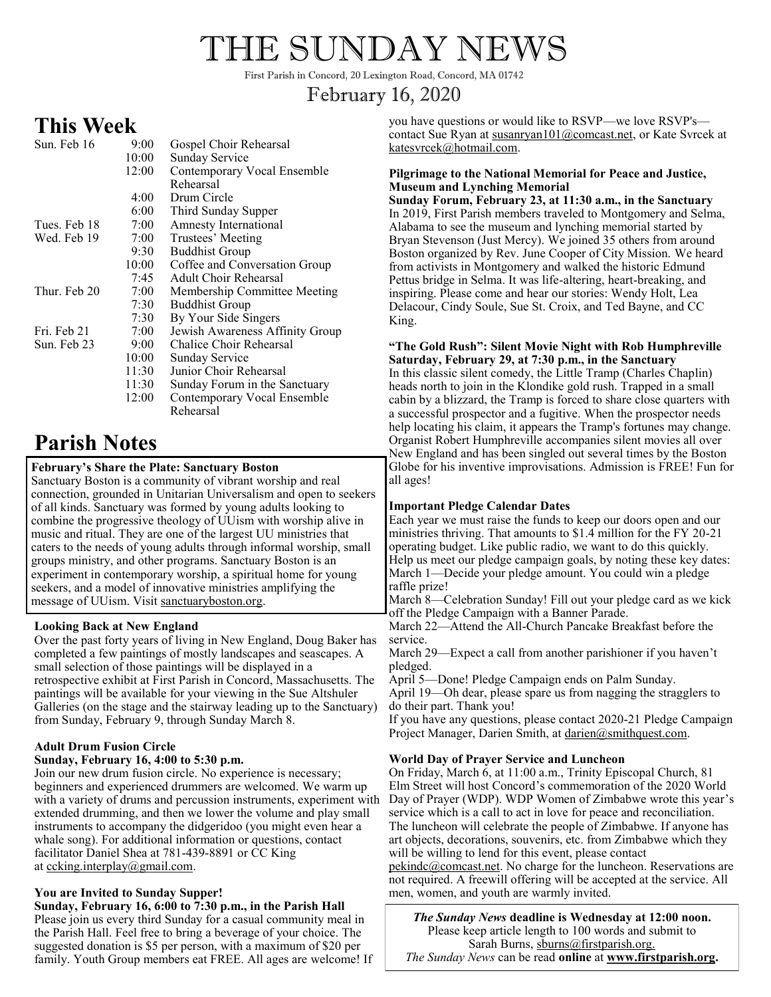# THE SUNDAY NEWS

First Parish in Concord, 20 Lexington Road, Concord, MA 01742

# February 16, 2020

# **This Week**

| Sun. Feb 16  | 9:00  | Gospel Choir Rehearsal          |
|--------------|-------|---------------------------------|
|              | 10:00 | Sunday Service                  |
|              | 12:00 | Contemporary Vocal Ensemble     |
|              |       | Rehearsal                       |
|              | 4:00  | Drum Circle                     |
|              | 6:00  | Third Sunday Supper             |
| Tues. Feb 18 | 7:00  | <b>Amnesty International</b>    |
| Wed. Feb 19  | 7:00  | Trustees' Meeting               |
|              | 9:30  | <b>Buddhist Group</b>           |
|              | 10:00 | Coffee and Conversation Group   |
|              | 7:45  | Adult Choir Rehearsal           |
| Thur. Feb 20 | 7:00  | Membership Committee Meeting    |
|              | 7:30  | <b>Buddhist Group</b>           |
|              | 7:30  | By Your Side Singers            |
| Fri. Feb 21  | 7:00  | Jewish Awareness Affinity Group |
| Sun. Feb 23  | 9:00  | Chalice Choir Rehearsal         |
|              | 10:00 | <b>Sunday Service</b>           |
|              | 11:30 | Junior Choir Rehearsal          |
|              | 11:30 | Sunday Forum in the Sanctuary   |
|              | 12:00 | Contemporary Vocal Ensemble     |
|              |       | Rehearsal                       |

# **Parish Notes**

# **February's Share the Plate: Sanctuary Boston**

Sanctuary Boston is a community of vibrant worship and real connection, grounded in Unitarian Universalism and open to seekers of all kinds. Sanctuary was formed by young adults looking to combine the progressive theology of UUism with worship alive in music and ritual. They are one of the largest UU ministries that caters to the needs of young adults through informal worship, small groups ministry, and other programs. Sanctuary Boston is an experiment in contemporary worship, a spiritual home for young seekers, and a model of innovative ministries amplifying the message of UUism. Visit sanctuaryboston.org.

## **Looking Back at New England**

Over the past forty years of living in New England, Doug Baker has completed a few paintings of mostly landscapes and seascapes. A small selection of those paintings will be displayed in a retrospective exhibit at First Parish in Concord, Massachusetts. The paintings will be available for your viewing in the Sue Altshuler Galleries (on the stage and the stairway leading up to the Sanctuary) from Sunday, February 9, through Sunday March 8.

#### **Adult Drum Fusion Circle Sunday, February 16, 4:00 to 5:30 p.m.**

Join our new drum fusion circle. No experience is necessary; beginners and experienced drummers are welcomed. We warm up with a variety of drums and percussion instruments, experiment with extended drumming, and then we lower the volume and play small instruments to accompany the didgeridoo (you might even hear a whale song). For additional information or questions, contact facilitator Daniel Shea at 781-439-8891 or CC King at [ccking.interplay@gmail.com.](mailto:ccking.interplay@gmail.com) 

# **You are Invited to Sunday Supper!**

**Sunday, February 16, 6:00 to 7:30 p.m., in the Parish Hall**  Please join us every third Sunday for a casual community meal in the Parish Hall. Feel free to bring a beverage of your choice. The suggested donation is \$5 per person, with a maximum of \$20 per family. Youth Group members eat FREE. All ages are welcome! If you have questions or would like to RSVP—we love RSVP's contact Sue Ryan at susanryan101@comcast.net, or Kate Svrcek at katesvrcek@hotmail.com.

#### **Pilgrimage to the National Memorial for Peace and Justice, Museum and Lynching Memorial**

**Sunday Forum, February 23, at 11:30 a.m., in the Sanctuary** In 2019, First Parish members traveled to Montgomery and Selma, Alabama to see the museum and lynching memorial started by Bryan Stevenson (Just Mercy). We joined 35 others from around Boston organized by Rev. June Cooper of City Mission. We heard from activists in Montgomery and walked the historic Edmund Pettus bridge in Selma. It was life-altering, heart-breaking, and inspiring. Please come and hear our stories: Wendy Holt, Lea Delacour, Cindy Soule, Sue St. Croix, and Ted Bayne, and CC King.

#### **"The Gold Rush": Silent Movie Night with Rob Humphreville Saturday, February 29, at 7:30 p.m., in the Sanctuary**

In this classic silent comedy, the Little Tramp (Charles Chaplin) heads north to join in the Klondike gold rush. Trapped in a small cabin by a blizzard, the Tramp is forced to share close quarters with a successful prospector and a fugitive. When the prospector needs help locating his claim, it appears the Tramp's fortunes may change. Organist Robert Humphreville accompanies silent movies all over New England and has been singled out several times by the Boston Globe for his inventive improvisations. Admission is FREE! Fun for all ages!

# **Important Pledge Calendar Dates**

Each year we must raise the funds to keep our doors open and our ministries thriving. That amounts to \$1.4 million for the FY 20-21 operating budget. Like public radio, we want to do this quickly. Help us meet our pledge campaign goals, by noting these key dates: March 1—Decide your pledge amount. You could win a pledge raffle prize!

March 8—Celebration Sunday! Fill out your pledge card as we kick off the Pledge Campaign with a Banner Parade.

March 22—Attend the All-Church Pancake Breakfast before the service.

March 29—Expect a call from another parishioner if you haven't pledged.

April 5—Done! Pledge Campaign ends on Palm Sunday.

April 19—Oh dear, please spare us from nagging the stragglers to do their part. Thank you!

If you have any questions, please contact 2020-21 Pledge Campaign Project Manager, Darien Smith, at darien@smithquest.com.

## **World Day of Prayer Service and Luncheon**

On Friday, March 6, at 11:00 a.m., Trinity Episcopal Church, 81 Elm Street will host Concord's commemoration of the 2020 World Day of Prayer (WDP). WDP Women of Zimbabwe wrote this year's service which is a call to act in love for peace and reconciliation. The luncheon will celebrate the people of Zimbabwe. If anyone has art objects, decorations, souvenirs, etc. from Zimbabwe which they will be willing to lend for this event, please contact [pekindc@comcast.net.](mailto:pekindc@comcast.net) No charge for the luncheon. Reservations are not required. A freewill offering will be accepted at the service. All men, women, and youth are warmly invited.

*The Sunday News* **deadline is Wednesday at 12:00 noon.** Please keep article length to 100 words and submit to Sarah Burns, sburns@firstparish.org.

*The Sunday News* can be read **online** at **www.firstparish.org.**